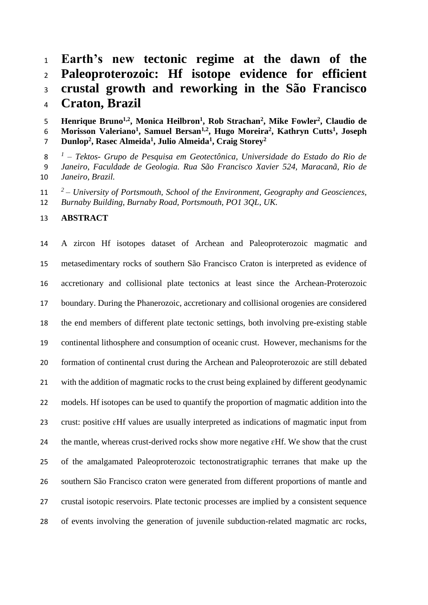### **Earth's new tectonic regime at the dawn of the Paleoproterozoic: Hf isotope evidence for efficient crustal growth and reworking in the São Francisco Craton, Brazil**

5 **Henrique Bruno<sup>1,2</sup>, Monica Heilbron<sup>1</sup>, Rob Strachan<sup>2</sup>, Mike Fowler<sup>2</sup>, Claudio de Morisson Valeriano<sup>1</sup> , Samuel Bersan1,2 , Hugo Moreira<sup>2</sup> , Kathryn Cutts<sup>1</sup> , Joseph Dunlop<sup>2</sup> , Rasec Almeida<sup>1</sup> , Julio Almeida<sup>1</sup> , Craig Storey<sup>2</sup>**

*1 – Tektos- Grupo de Pesquisa em Geotectônica, Universidade do Estado do Rio de Janeiro, Faculdade de Geologia. Rua São Francisco Xavier 524, Maracanã, Rio de Janeiro, Brazil.*

*<sup>2</sup> – University of Portsmouth, School of the Environment, Geography and Geosciences, Burnaby Building, Burnaby Road, Portsmouth, PO1 3QL, UK.*

### **ABSTRACT**

 A zircon Hf isotopes dataset of Archean and Paleoproterozoic magmatic and metasedimentary rocks of southern São Francisco Craton is interpreted as evidence of accretionary and collisional plate tectonics at least since the Archean-Proterozoic boundary. During the Phanerozoic, accretionary and collisional orogenies are considered the end members of different plate tectonic settings, both involving pre-existing stable continental lithosphere and consumption of oceanic crust. However, mechanisms for the formation of continental crust during the Archean and Paleoproterozoic are still debated with the addition of magmatic rocks to the crust being explained by different geodynamic models. Hf isotopes can be used to quantify the proportion of magmatic addition into the crust: positive ɛHf values are usually interpreted as indications of magmatic input from 24 the mantle, whereas crust-derived rocks show more negative  $\epsilon$ Hf. We show that the crust of the amalgamated Paleoproterozoic tectonostratigraphic terranes that make up the southern São Francisco craton were generated from different proportions of mantle and crustal isotopic reservoirs. Plate tectonic processes are implied by a consistent sequence of events involving the generation of juvenile subduction-related magmatic arc rocks,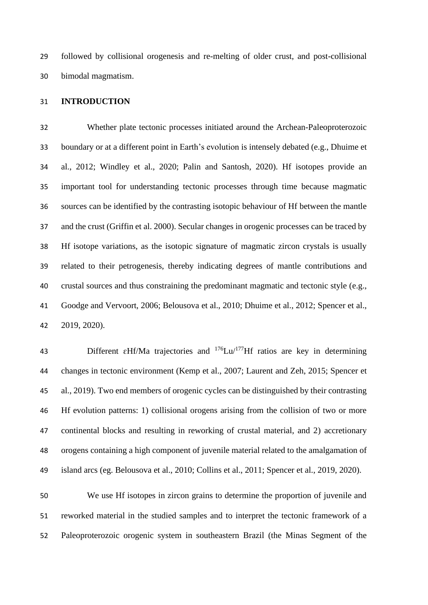followed by collisional orogenesis and re-melting of older crust, and post-collisional bimodal magmatism.

### **INTRODUCTION**

 Whether plate tectonic processes initiated around the Archean-Paleoproterozoic boundary or at a different point in Earth's evolution is intensely debated (e.g., Dhuime et al., 2012; Windley et al., 2020; Palin and Santosh, 2020). Hf isotopes provide an important tool for understanding tectonic processes through time because magmatic sources can be identified by the contrasting isotopic behaviour of Hf between the mantle and the crust (Griffin et al. 2000). Secular changes in orogenic processes can be traced by Hf isotope variations, as the isotopic signature of magmatic zircon crystals is usually related to their petrogenesis, thereby indicating degrees of mantle contributions and crustal sources and thus constraining the predominant magmatic and tectonic style (e.g., Goodge and Vervoort, 2006; Belousova et al., 2010; Dhuime et al., 2012; Spencer et al., 2019, 2020).

43 Different  $\epsilon$ Hf/Ma trajectories and <sup>176</sup>Lu/<sup>177</sup>Hf ratios are key in determining changes in tectonic environment (Kemp et al., 2007; Laurent and Zeh, 2015; Spencer et al., 2019). Two end members of orogenic cycles can be distinguished by their contrasting Hf evolution patterns: 1) collisional orogens arising from the collision of two or more continental blocks and resulting in reworking of crustal material, and 2) accretionary orogens containing a high component of juvenile material related to the amalgamation of island arcs (eg. Belousova et al., 2010; Collins et al., 2011; Spencer et al., 2019, 2020).

 We use Hf isotopes in zircon grains to determine the proportion of juvenile and reworked material in the studied samples and to interpret the tectonic framework of a Paleoproterozoic orogenic system in southeastern Brazil (the Minas Segment of the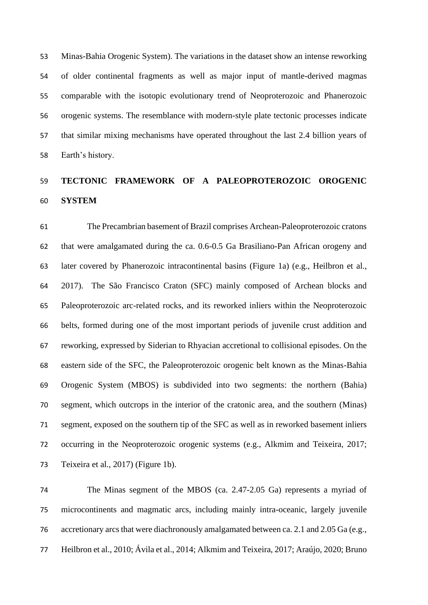Minas-Bahia Orogenic System). The variations in the dataset show an intense reworking of older continental fragments as well as major input of mantle-derived magmas comparable with the isotopic evolutionary trend of Neoproterozoic and Phanerozoic orogenic systems. The resemblance with modern-style plate tectonic processes indicate that similar mixing mechanisms have operated throughout the last 2.4 billion years of Earth's history.

# **TECTONIC FRAMEWORK OF A PALEOPROTEROZOIC OROGENIC SYSTEM**

 The Precambrian basement of Brazil comprises Archean-Paleoproterozoic cratons that were amalgamated during the ca. 0.6-0.5 Ga Brasiliano-Pan African orogeny and later covered by Phanerozoic intracontinental basins (Figure 1a) (e.g., Heilbron et al., 2017). The São Francisco Craton (SFC) mainly composed of Archean blocks and Paleoproterozoic arc-related rocks, and its reworked inliers within the Neoproterozoic belts, formed during one of the most important periods of juvenile crust addition and reworking, expressed by Siderian to Rhyacian accretional to collisional episodes. On the eastern side of the SFC, the Paleoproterozoic orogenic belt known as the Minas-Bahia Orogenic System (MBOS) is subdivided into two segments: the northern (Bahia) segment, which outcrops in the interior of the cratonic area, and the southern (Minas) segment, exposed on the southern tip of the SFC as well as in reworked basement inliers occurring in the Neoproterozoic orogenic systems (e.g., Alkmim and Teixeira, 2017; Teixeira et al., 2017) (Figure 1b).

 The Minas segment of the MBOS (ca. 2.47-2.05 Ga) represents a myriad of microcontinents and magmatic arcs, including mainly intra-oceanic, largely juvenile accretionary arcs that were diachronously amalgamated between ca. 2.1 and 2.05 Ga (e.g., Heilbron et al., 2010; Ávila et al., 2014; Alkmim and Teixeira, 2017; Araújo, 2020; Bruno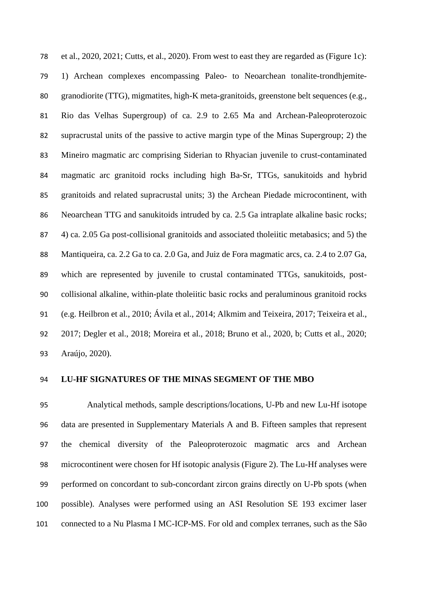et al., 2020, 2021; Cutts, et al., 2020). From west to east they are regarded as (Figure 1c): 1) Archean complexes encompassing Paleo- to Neoarchean tonalite-trondhjemite- granodiorite (TTG), migmatites, high-K meta-granitoids, greenstone belt sequences (e.g., Rio das Velhas Supergroup) of ca. 2.9 to 2.65 Ma and Archean-Paleoproterozoic supracrustal units of the passive to active margin type of the Minas Supergroup; 2) the Mineiro magmatic arc comprising Siderian to Rhyacian juvenile to crust-contaminated magmatic arc granitoid rocks including high Ba-Sr, TTGs, sanukitoids and hybrid granitoids and related supracrustal units; 3) the Archean Piedade microcontinent, with Neoarchean TTG and sanukitoids intruded by ca. 2.5 Ga intraplate alkaline basic rocks; 4) ca. 2.05 Ga post-collisional granitoids and associated tholeiitic metabasics; and 5) the Mantiqueira, ca. 2.2 Ga to ca. 2.0 Ga, and Juiz de Fora magmatic arcs, ca. 2.4 to 2.07 Ga, which are represented by juvenile to crustal contaminated TTGs, sanukitoids, post- collisional alkaline, within-plate tholeiitic basic rocks and peraluminous granitoid rocks (e.g. Heilbron et al., 2010; Ávila et al., 2014; Alkmim and Teixeira, 2017; Teixeira et al., 2017; Degler et al., 2018; Moreira et al., 2018; Bruno et al., 2020, b; Cutts et al., 2020; Araújo, 2020).

#### **LU-HF SIGNATURES OF THE MINAS SEGMENT OF THE MBO**

 Analytical methods, sample descriptions/locations, U-Pb and new Lu-Hf isotope data are presented in Supplementary Materials A and B. Fifteen samples that represent the chemical diversity of the Paleoproterozoic magmatic arcs and Archean microcontinent were chosen for Hf isotopic analysis (Figure 2). The Lu-Hf analyses were performed on concordant to sub-concordant zircon grains directly on U-Pb spots (when possible). Analyses were performed using an ASI Resolution SE 193 excimer laser connected to a Nu Plasma I MC-ICP-MS. For old and complex terranes, such as the São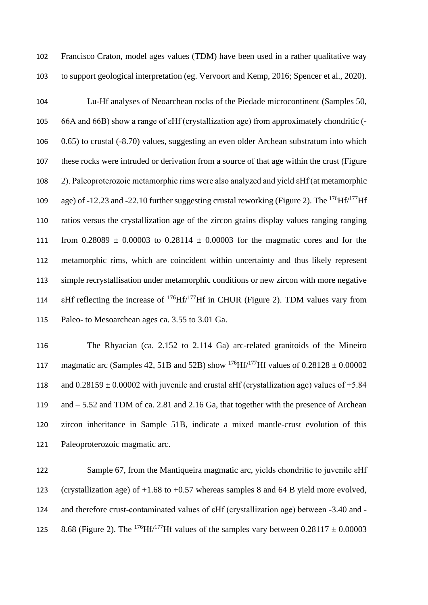Francisco Craton, model ages values (TDM) have been used in a rather qualitative way to support geological interpretation (eg. Vervoort and Kemp, 2016; Spencer et al., 2020).

 Lu-Hf analyses of Neoarchean rocks of the Piedade microcontinent (Samples 50, 66A and 66B) show a range of εHf (crystallization age) from approximately chondritic (- 0.65) to crustal (-8.70) values, suggesting an even older Archean substratum into which these rocks were intruded or derivation from a source of that age within the crust (Figure 2). Paleoproterozoic metamorphic rims were also analyzed and yield εHf (at metamorphic age) of -12.23 and -22.10 further suggesting crustal reworking (Figure 2). The  $^{176}$ Hf/ $^{177}$ Hf ratios versus the crystallization age of the zircon grains display values ranging ranging 111 from  $0.28089 \pm 0.00003$  to  $0.28114 \pm 0.00003$  for the magmatic cores and for the metamorphic rims, which are coincident within uncertainty and thus likely represent simple recrystallisation under metamorphic conditions or new zircon with more negative 114 EHf reflecting the increase of  $^{176}$ Hf $/^{177}$ Hf in CHUR (Figure 2). TDM values vary from Paleo- to Mesoarchean ages ca. 3.55 to 3.01 Ga.

 The Rhyacian (ca. 2.152 to 2.114 Ga) arc-related granitoids of the Mineiro 117 magmatic arc (Samples 42, 51B and 52B) show <sup>176</sup>Hf/<sup>177</sup>Hf values of  $0.28128 \pm 0.00002$ 118 and  $0.28159 \pm 0.00002$  with juvenile and crustal  $\text{EHf}$  (crystallization age) values of +5.84 and – 5.52 and TDM of ca. 2.81 and 2.16 Ga, that together with the presence of Archean zircon inheritance in Sample 51B, indicate a mixed mantle-crust evolution of this Paleoproterozoic magmatic arc.

 Sample 67, from the Mantiqueira magmatic arc, yields chondritic to juvenile εHf (crystallization age) of +1.68 to +0.57 whereas samples 8 and 64 B yield more evolved, and therefore crust-contaminated values of εHf (crystallization age) between -3.40 and - 125 8.68 (Figure 2). The <sup>176</sup>Hf/<sup>177</sup>Hf values of the samples vary between  $0.28117 \pm 0.00003$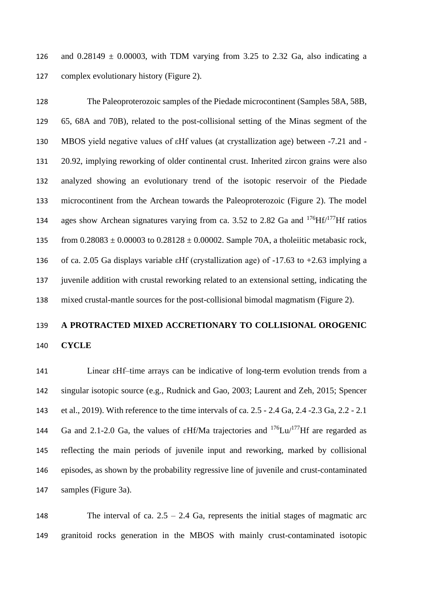126 and  $0.28149 \pm 0.00003$ , with TDM varying from 3.25 to 2.32 Ga, also indicating a complex evolutionary history (Figure 2).

 The Paleoproterozoic samples of the Piedade microcontinent (Samples 58A, 58B, 65, 68A and 70B), related to the post-collisional setting of the Minas segment of the MBOS yield negative values of εHf values (at crystallization age) between -7.21 and - 20.92, implying reworking of older continental crust. Inherited zircon grains were also analyzed showing an evolutionary trend of the isotopic reservoir of the Piedade microcontinent from the Archean towards the Paleoproterozoic (Figure 2). The model 134 ages show Archean signatures varying from ca. 3.52 to 2.82 Ga and Hf $/177$ Hf ratios 135 from  $0.28083 \pm 0.00003$  to  $0.28128 \pm 0.00002$ . Sample 70A, a tholeitic metabasic rock, of ca. 2.05 Ga displays variable εHf (crystallization age) of -17.63 to +2.63 implying a juvenile addition with crustal reworking related to an extensional setting, indicating the mixed crustal-mantle sources for the post-collisional bimodal magmatism (Figure 2).

## **A PROTRACTED MIXED ACCRETIONARY TO COLLISIONAL OROGENIC CYCLE**

 Linear εHf–time arrays can be indicative of long-term evolution trends from a singular isotopic source (e.g., Rudnick and Gao, 2003; Laurent and Zeh, 2015; Spencer et al., 2019). With reference to the time intervals of ca. 2.5 - 2.4 Ga, 2.4 -2.3 Ga, 2.2 - 2.1 144 Ga and 2.1-2.0 Ga, the values of  $\epsilon$ Hf/Ma trajectories and <sup>176</sup>Lu/<sup>177</sup>Hf are regarded as reflecting the main periods of juvenile input and reworking, marked by collisional episodes, as shown by the probability regressive line of juvenile and crust-contaminated samples (Figure 3a).

148 The interval of ca.  $2.5 - 2.4$  Ga, represents the initial stages of magmatic arc granitoid rocks generation in the MBOS with mainly crust-contaminated isotopic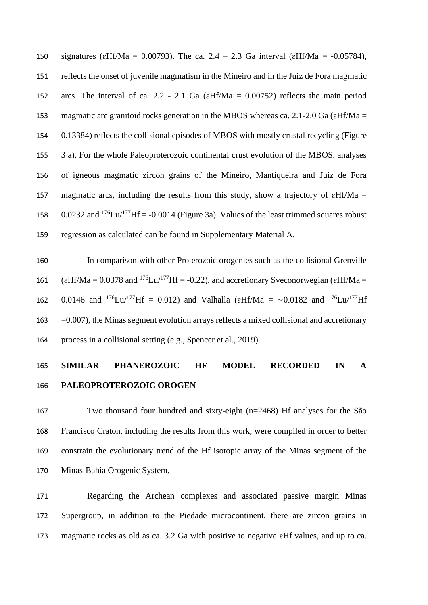150 signatures ( $\varepsilon$ Hf/Ma = 0.00793). The ca. 2.4 – 2.3 Ga interval ( $\varepsilon$ Hf/Ma = -0.05784), reflects the onset of juvenile magmatism in the Mineiro and in the Juiz de Fora magmatic 152 arcs. The interval of ca. 2.2 - 2.1 Ga ( $\epsilon$ Hf/Ma = 0.00752) reflects the main period 153 magmatic arc granitoid rocks generation in the MBOS whereas ca. 2.1-2.0 Ga ( $\varepsilon$ Hf/Ma = 0.13384) reflects the collisional episodes of MBOS with mostly crustal recycling (Figure 3 a). For the whole Paleoproterozoic continental crust evolution of the MBOS, analyses of igneous magmatic zircon grains of the Mineiro, Mantiqueira and Juiz de Fora 157 magmatic arcs, including the results from this study, show a trajectory of  $\epsilon$ Hf/Ma = 158 0.0232 and Lu/ $177$ Hf = -0.0014 (Figure 3a). Values of the least trimmed squares robust regression as calculated can be found in Supplementary Material A.

 In comparison with other Proterozoic orogenies such as the collisional Grenville 161 ( $\varepsilon$ Hf/Ma = 0.0378 and <sup>176</sup>Lu/<sup>177</sup>Hf = -0.22), and accretionary Sveconorwegian ( $\varepsilon$ Hf/Ma = 162 0.0146 and <sup>176</sup>Lu/<sup>177</sup>Hf = 0.012) and Valhalla ( $\varepsilon$ Hf/Ma = ~0.0182 and <sup>176</sup>Lu/<sup>177</sup>Hf  $163 = 0.007$ , the Minas segment evolution arrays reflects a mixed collisional and accretionary process in a collisional setting (e.g., Spencer et al., 2019).

# **SIMILAR PHANEROZOIC HF MODEL RECORDED IN A PALEOPROTEROZOIC OROGEN**

 Two thousand four hundred and sixty-eight (n=2468) Hf analyses for the São Francisco Craton, including the results from this work, were compiled in order to better constrain the evolutionary trend of the Hf isotopic array of the Minas segment of the Minas-Bahia Orogenic System.

 Regarding the Archean complexes and associated passive margin Minas Supergroup, in addition to the Piedade microcontinent, there are zircon grains in magmatic rocks as old as ca. 3.2 Ga with positive to negative ɛHf values, and up to ca.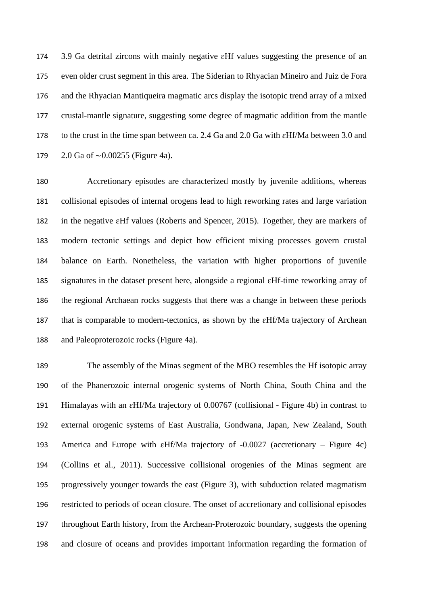3.9 Ga detrital zircons with mainly negative ɛHf values suggesting the presence of an even older crust segment in this area. The Siderian to Rhyacian Mineiro and Juiz de Fora and the Rhyacian Mantiqueira magmatic arcs display the isotopic trend array of a mixed crustal-mantle signature, suggesting some degree of magmatic addition from the mantle to the crust in the time span between ca. 2.4 Ga and 2.0 Ga with ɛHf/Ma between 3.0 and 2.0 Ga of ∼0.00255 (Figure 4a).

 Accretionary episodes are characterized mostly by juvenile additions, whereas collisional episodes of internal orogens lead to high reworking rates and large variation in the negative ɛHf values (Roberts and Spencer, 2015). Together, they are markers of modern tectonic settings and depict how efficient mixing processes govern crustal balance on Earth. Nonetheless, the variation with higher proportions of juvenile signatures in the dataset present here, alongside a regional ɛHf-time reworking array of the regional Archaean rocks suggests that there was a change in between these periods that is comparable to modern-tectonics, as shown by the ɛHf/Ma trajectory of Archean and Paleoproterozoic rocks (Figure 4a).

 The assembly of the Minas segment of the MBO resembles the Hf isotopic array of the Phanerozoic internal orogenic systems of North China, South China and the Himalayas with an ɛHf/Ma trajectory of 0.00767 (collisional - Figure 4b) in contrast to external orogenic systems of East Australia, Gondwana, Japan, New Zealand, South America and Europe with ɛHf/Ma trajectory of -0.0027 (accretionary – Figure 4c) (Collins et al., 2011). Successive collisional orogenies of the Minas segment are progressively younger towards the east (Figure 3), with subduction related magmatism restricted to periods of ocean closure. The onset of accretionary and collisional episodes throughout Earth history, from the Archean-Proterozoic boundary, suggests the opening and closure of oceans and provides important information regarding the formation of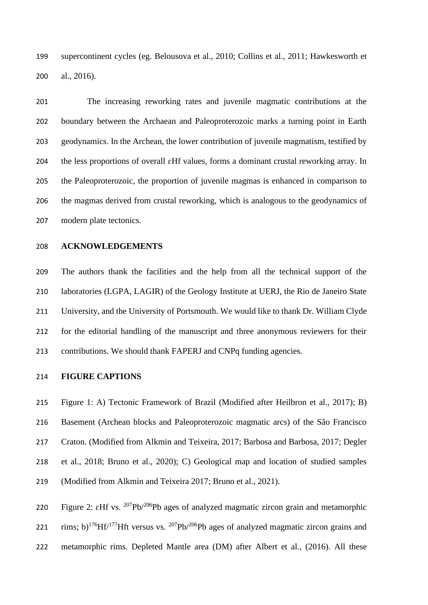supercontinent cycles (eg. Belousova et al., 2010; Collins et al., 2011; Hawkesworth et al., 2016).

 The increasing reworking rates and juvenile magmatic contributions at the boundary between the Archaean and Paleoproterozoic marks a turning point in Earth geodynamics. In the Archean, the lower contribution of juvenile magmatism, testified by the less proportions of overall ɛHf values, forms a dominant crustal reworking array. In the Paleoproterozoic, the proportion of juvenile magmas is enhanced in comparison to the magmas derived from crustal reworking, which is analogous to the geodynamics of modern plate tectonics.

#### **ACKNOWLEDGEMENTS**

 The authors thank the facilities and the help from all the technical support of the laboratories (LGPA, LAGIR) of the Geology Institute at UERJ, the Rio de Janeiro State University, and the University of Portsmouth. We would like to thank Dr. William Clyde for the editorial handling of the manuscript and three anonymous reviewers for their contributions. We should thank FAPERJ and CNPq funding agencies.

### **FIGURE CAPTIONS**

 Figure 1: A) Tectonic Framework of Brazil (Modified after Heilbron et al., 2017); B) Basement (Archean blocks and Paleoproterozoic magmatic arcs) of the São Francisco Craton. (Modified from Alkmin and Teixeira, 2017; Barbosa and Barbosa, 2017; Degler et al., 2018; Bruno et al., 2020); C) Geological map and location of studied samples (Modified from Alkmin and Teixeira 2017; Bruno et al., 2021).

220 Figure 2:  $\epsilon$ Hf vs. <sup>207</sup>Pb<sup>/206</sup>Pb ages of analyzed magmatic zircon grain and metamorphic 221 rims; b)<sup>176</sup>Hf/<sup>177</sup>Hft versus vs. <sup>207</sup>Pb/<sup>206</sup>Pb ages of analyzed magmatic zircon grains and metamorphic rims. Depleted Mantle area (DM) after Albert et al., (2016). All these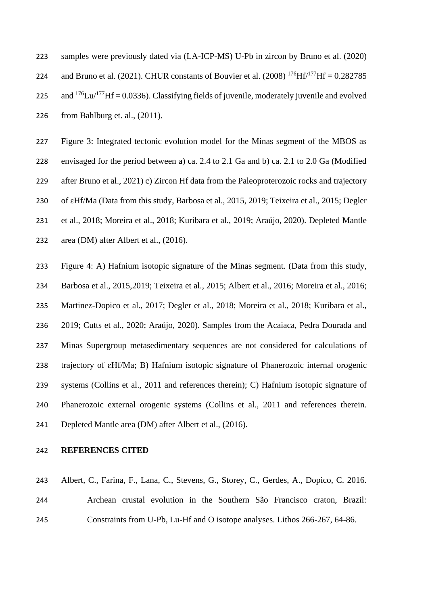samples were previously dated via (LA-ICP-MS) U-Pb in zircon by Bruno et al. (2020) 224 and Bruno et al. (2021). CHUR constants of Bouvier et al. (2008) Hf $/177$ Hf = 0.282785 225 and Lu/ $177$ Hf = 0.0336). Classifying fields of juvenile, moderately juvenile and evolved from Bahlburg et. al., (2011).

 Figure 3: Integrated tectonic evolution model for the Minas segment of the MBOS as envisaged for the period between a) ca. 2.4 to 2.1 Ga and b) ca. 2.1 to 2.0 Ga (Modified 229 after Bruno et al., 2021) c) Zircon Hf data from the Paleoproterozoic rocks and trajectory 230 of  $\epsilon$ Hf/Ma (Data from this study, Barbosa et al., 2015, 2019; Teixeira et al., 2015; Degler et al., 2018; Moreira et al., 2018; Kuribara et al., 2019; Araújo, 2020). Depleted Mantle area (DM) after Albert et al., (2016).

 Figure 4: A) Hafnium isotopic signature of the Minas segment. (Data from this study, Barbosa et al., 2015,2019; Teixeira et al., 2015; Albert et al., 2016; Moreira et al., 2016; Martinez-Dopico et al., 2017; Degler et al., 2018; Moreira et al., 2018; Kuribara et al., 2019; Cutts et al., 2020; Araújo, 2020). Samples from the Acaiaca, Pedra Dourada and Minas Supergroup metasedimentary sequences are not considered for calculations of trajectory of ɛHf/Ma; B) Hafnium isotopic signature of Phanerozoic internal orogenic systems (Collins et al., 2011 and references therein); C) Hafnium isotopic signature of Phanerozoic external orogenic systems (Collins et al., 2011 and references therein. Depleted Mantle area (DM) after Albert et al., (2016).

#### **REFERENCES CITED**

 Albert, C., Farina, F., Lana, C., Stevens, G., Storey, C., Gerdes, A., Dopico, C. 2016. Archean crustal evolution in the Southern São Francisco craton, Brazil: Constraints from U-Pb, Lu-Hf and O isotope analyses. Lithos 266-267, 64-86.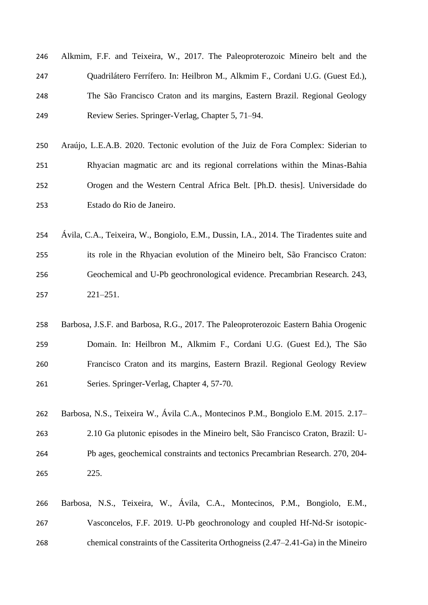| 246 | Alkmim, F.F. and Teixeira, W., 2017. The Paleoproterozoic Mineiro belt and the |
|-----|--------------------------------------------------------------------------------|
| 247 | Quadrilátero Ferrífero. In: Heilbron M., Alkmim F., Cordani U.G. (Guest Ed.),  |
| 248 | The São Francisco Craton and its margins, Eastern Brazil. Regional Geology     |
| 249 | Review Series. Springer-Verlag, Chapter 5, 71–94.                              |

- Araújo, L.E.A.B. 2020. Tectonic evolution of the Juiz de Fora Complex: Siderian to Rhyacian magmatic arc and its regional correlations within the Minas-Bahia Orogen and the Western Central Africa Belt. [Ph.D. thesis]. Universidade do Estado do Rio de Janeiro.
- Ávila, C.A., Teixeira, W., Bongiolo, E.M., Dussin, I.A., 2014. The Tiradentes suite and its role in the Rhyacian evolution of the Mineiro belt, São Francisco Craton: Geochemical and U-Pb geochronological evidence. Precambrian Research. 243, 221–251.
- Barbosa, J.S.F. and Barbosa, R.G., 2017. The Paleoproterozoic Eastern Bahia Orogenic Domain. In: Heilbron M., Alkmim F., Cordani U.G. (Guest Ed.), The São Francisco Craton and its margins, Eastern Brazil. Regional Geology Review Series. Springer-Verlag, Chapter 4, 57-70.
- Barbosa, N.S., Teixeira W., Ávila C.A., Montecinos P.M., Bongiolo E.M. 2015. 2.17– 2.10 Ga plutonic episodes in the Mineiro belt, São Francisco Craton, Brazil: U- Pb ages, geochemical constraints and tectonics Precambrian Research. 270, 204- 225.
- Barbosa, N.S., Teixeira, W., Ávila, C.A., Montecinos, P.M., Bongiolo, E.M., Vasconcelos, F.F. 2019. U-Pb geochronology and coupled Hf-Nd-Sr isotopic-chemical constraints of the Cassiterita Orthogneiss (2.47–2.41-Ga) in the Mineiro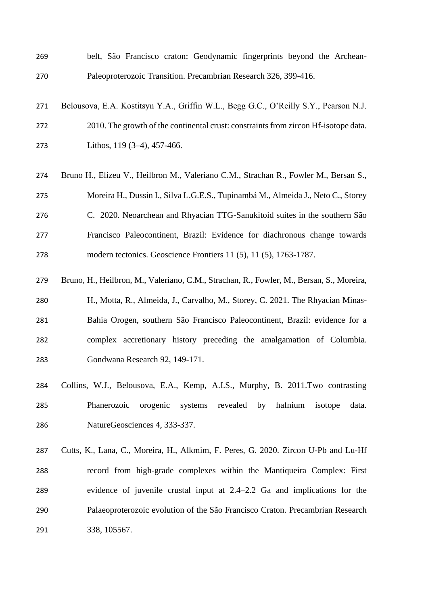- belt, São Francisco craton: Geodynamic fingerprints beyond the Archean-Paleoproterozoic Transition. Precambrian Research 326, 399-416.
- Belousova, E.A. Kostitsyn Y.A., Griffin W.L., Begg G.C., O'Reilly S.Y., Pearson N.J. 2010. The growth of the continental crust: constraints from zircon Hf-isotope data. Lithos, 119 (3–4), 457-466.
- Bruno H., Elizeu V., Heilbron M., Valeriano C.M., Strachan R., Fowler M., Bersan S., Moreira H., Dussin I., Silva L.G.E.S., Tupinambá M., Almeida J., Neto C., Storey C. 2020. Neoarchean and Rhyacian TTG-Sanukitoid suites in the southern São Francisco Paleocontinent, Brazil: Evidence for diachronous change towards modern tectonics. Geoscience Frontiers 11 (5), 11 (5), 1763-1787.
- Bruno, H., Heilbron, M., Valeriano, C.M., Strachan, R., Fowler, M., Bersan, S., Moreira, H., Motta, R., Almeida, J., Carvalho, M., Storey, C. 2021. The Rhyacian Minas- Bahia Orogen, southern São Francisco Paleocontinent, Brazil: evidence for a complex accretionary history preceding the amalgamation of Columbia. Gondwana Research 92, 149-171.
- Collins, W.J., Belousova, E.A., Kemp, A.I.S., Murphy, B. 2011.Two contrasting Phanerozoic orogenic systems revealed by hafnium isotope data. NatureGeosciences 4, 333-337.
- Cutts, K., Lana, C., Moreira, H., Alkmim, F. Peres, G. 2020. Zircon U-Pb and Lu-Hf record from high-grade complexes within the Mantiqueira Complex: First evidence of juvenile crustal input at 2.4–2.2 Ga and implications for the Palaeoproterozoic evolution of the São Francisco Craton. Precambrian Research 338, 105567.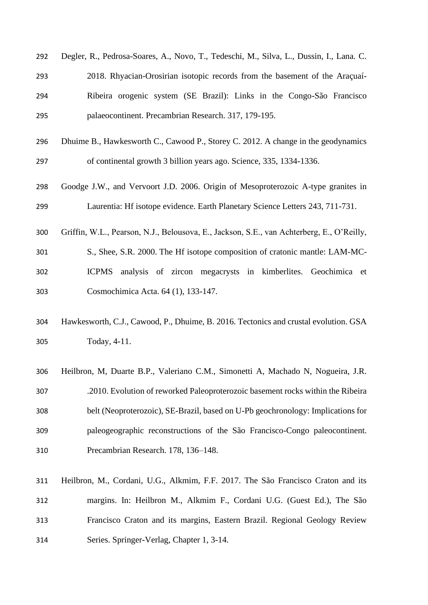| 292 | Degler, R., Pedrosa-Soares, A., Novo, T., Tedeschi, M., Silva, L., Dussin, I., Lana. C.   |
|-----|-------------------------------------------------------------------------------------------|
| 293 | 2018. Rhyacian-Orosirian isotopic records from the basement of the Araçuaí-               |
| 294 | Ribeira orogenic system (SE Brazil): Links in the Congo-São Francisco                     |
| 295 | palaeocontinent. Precambrian Research. 317, 179-195.                                      |
| 296 | Dhuime B., Hawkesworth C., Cawood P., Storey C. 2012. A change in the geodynamics         |
| 297 | of continental growth 3 billion years ago. Science, 335, 1334-1336.                       |
| 298 | Goodge J.W., and Vervoort J.D. 2006. Origin of Mesoproterozoic A-type granites in         |
| 299 | Laurentia: Hf isotope evidence. Earth Planetary Science Letters 243, 711-731.             |
| 300 | Griffin, W.L., Pearson, N.J., Belousova, E., Jackson, S.E., van Achterberg, E., O'Reilly, |
| 301 | S., Shee, S.R. 2000. The Hf isotope composition of cratonic mantle: LAM-MC-               |
| 302 | <b>ICPMS</b><br>analysis of zircon megacrysts in kimberlites. Geochimica et               |
| 303 | Cosmochimica Acta. 64 (1), 133-147.                                                       |
| 304 | Hawkesworth, C.J., Cawood, P., Dhuime, B. 2016. Tectonics and crustal evolution. GSA      |
| 305 | Today, 4-11.                                                                              |
| 306 | Heilbron, M, Duarte B.P., Valeriano C.M., Simonetti A, Machado N, Nogueira, J.R.          |
| 307 | .2010. Evolution of reworked Paleoproterozoic basement rocks within the Ribeira           |
| 308 | belt (Neoproterozoic), SE-Brazil, based on U-Pb geochronology: Implications for           |
| 309 | paleogeographic reconstructions of the São Francisco-Congo paleocontinent.                |
| 310 | Precambrian Research. 178, 136-148.                                                       |
| 311 | Heilbron, M., Cordani, U.G., Alkmim, F.F. 2017. The São Francisco Craton and its          |
| 312 | margins. In: Heilbron M., Alkmim F., Cordani U.G. (Guest Ed.), The São                    |
| 313 | Francisco Craton and its margins, Eastern Brazil. Regional Geology Review                 |

Series. Springer-Verlag, Chapter 1, 3-14.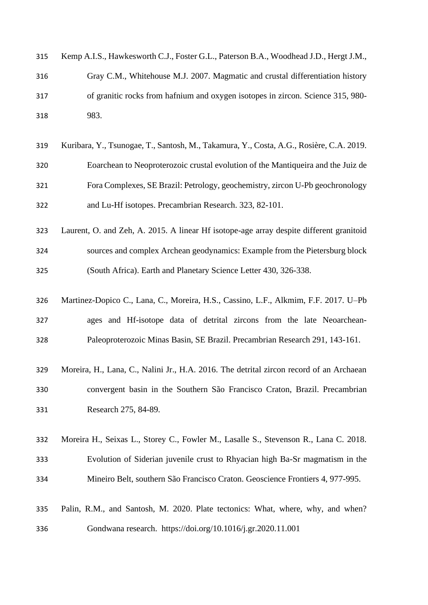| 315 | Kemp A.I.S., Hawkesworth C.J., Foster G.L., Paterson B.A., Woodhead J.D., Hergt J.M., |
|-----|---------------------------------------------------------------------------------------|
| 316 | Gray C.M., Whitehouse M.J. 2007. Magmatic and crustal differentiation history         |
| 317 | of granitic rocks from hafnium and oxygen isotopes in zircon. Science 315, 980-       |
| 318 | 983.                                                                                  |

- Kuribara, Y., Tsunogae, T., Santosh, M., Takamura, Y., Costa, A.G., Rosière, C.A. 2019. Eoarchean to Neoproterozoic crustal evolution of the Mantiqueira and the Juiz de Fora Complexes, SE Brazil: Petrology, geochemistry, zircon U-Pb geochronology and Lu-Hf isotopes. Precambrian Research. 323, 82-101.
- Laurent, O. and Zeh, A. 2015. A linear Hf isotope-age array despite different granitoid sources and complex Archean geodynamics: Example from the Pietersburg block (South Africa). Earth and Planetary Science Letter 430, 326-338.
- Martinez-Dopico C., Lana, C., Moreira, H.S., Cassino, L.F., Alkmim, F.F. 2017. U–Pb ages and Hf-isotope data of detrital zircons from the late Neoarchean-Paleoproterozoic Minas Basin, SE Brazil. Precambrian Research 291, 143-161.
- Moreira, H., Lana, C., Nalini Jr., H.A. 2016. The detrital zircon record of an Archaean convergent basin in the Southern São Francisco Craton, Brazil. Precambrian Research 275, 84-89.
- Moreira H., Seixas L., Storey C., Fowler M., Lasalle S., Stevenson R., Lana C. 2018. Evolution of Siderian juvenile crust to Rhyacian high Ba-Sr magmatism in the Mineiro Belt, southern São Francisco Craton. Geoscience Frontiers 4, 977-995.
- Palin, R.M., and Santosh, M. 2020. Plate tectonics: What, where, why, and when? Gondwana research. https://doi.org/10.1016/j.gr.2020.11.001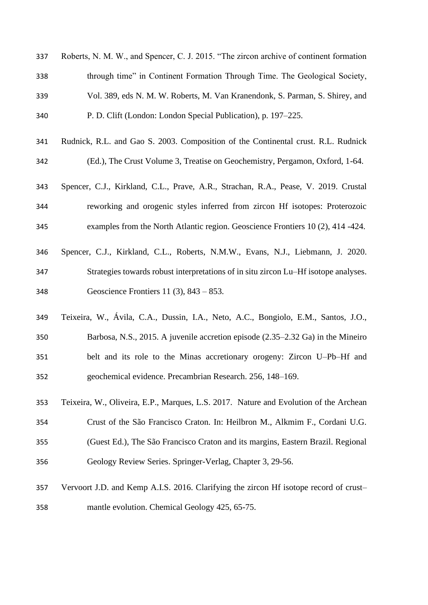| 337 | Roberts, N. M. W., and Spencer, C. J. 2015. "The zircon archive of continent formation |
|-----|----------------------------------------------------------------------------------------|
| 338 | through time" in Continent Formation Through Time. The Geological Society,             |
| 339 | Vol. 389, eds N. M. W. Roberts, M. Van Kranendonk, S. Parman, S. Shirey, and           |
| 340 | P. D. Clift (London: London Special Publication), p. 197–225.                          |

- Rudnick, R.L. and Gao S. 2003. Composition of the Continental crust. R.L. Rudnick (Ed.), The Crust Volume 3, Treatise on Geochemistry, Pergamon, Oxford, 1-64.
- Spencer, C.J., Kirkland, C.L., Prave, A.R., Strachan, R.A., Pease, V. 2019. Crustal reworking and orogenic styles inferred from zircon Hf isotopes: Proterozoic examples from the North Atlantic region. Geoscience Frontiers 10 (2), 414 -424.
- Spencer, C.J., Kirkland, C.L., Roberts, N.M.W., Evans, N.J., Liebmann, J. 2020. Strategies towards robust interpretations of in situ zircon Lu–Hf isotope analyses. Geoscience Frontiers 11 (3), 843 – 853.
- Teixeira, W., Ávila, C.A., Dussin, I.A., Neto, A.C., Bongiolo, E.M., Santos, J.O., Barbosa, N.S., 2015. A juvenile accretion episode (2.35–2.32 Ga) in the Mineiro belt and its role to the Minas accretionary orogeny: Zircon U–Pb–Hf and geochemical evidence. Precambrian Research. 256, 148–169.
- Teixeira, W., Oliveira, E.P., Marques, L.S. 2017. Nature and Evolution of the Archean Crust of the São Francisco Craton. In: Heilbron M., Alkmim F., Cordani U.G. (Guest Ed.), The São Francisco Craton and its margins, Eastern Brazil. Regional Geology Review Series. Springer-Verlag, Chapter 3, 29-56.
- Vervoort J.D. and Kemp A.I.S. 2016. Clarifying the zircon Hf isotope record of crust– mantle evolution. Chemical Geology 425, 65-75.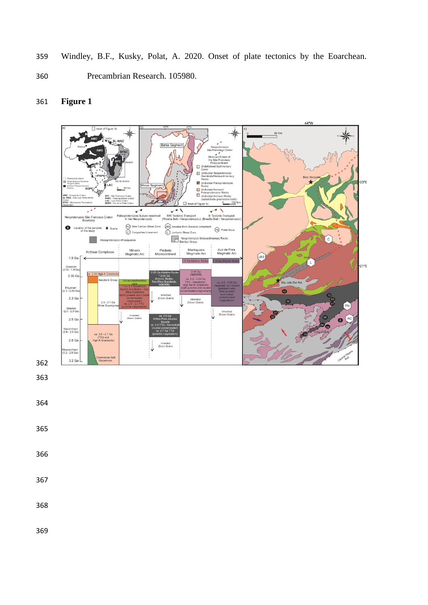359 Windley, B.F., Kusky, Polat, A. 2020. Onset of plate tectonics by the Eoarchean.

360 Precambrian Research. 105980.

#### $\frac{80 \text{ Km}}{1}$ Bah п verale verale verale surface<br>
verale Suture<br>
e Neoprotero: AC Abre Campo She<br>
C Congonhas Lines pes PN Ponte Nova ar Zone ſĹ Neoproterozoic M<br>Bambui Group ary Rocks  $\mathcal{L}^{\mathcal{L}}$ sequ Mantiqueira<br>Magmatic Arc Mineiro<br>Magmatic Ard Piedade<br>Microcontinent Juiz de Fora<br>Magmatic Ar Archean Complexes  $1.9<sub>Ga</sub>$ 1.9 Ga Alkaline Ro  $-21°S$ Orosirian<br>
2.05 - 1.9 G gh-K Gra  $2.05$  Ga  $2 - 2.04$  C São João Del Re Rhyacian<br>2.3 - 2.05 G  $\bullet$ 2.3 Ga Inherited<br>Zircon Grain 58 2.6 - 2.1 Ga  $PN$ Siderian<br>(2.5 - 2.3 Ga Inherited<br>Zircon Grains l Inherited<br>Zircon Grains  $AC$ 2.5 Ga n Neoarchean<br>(2.8 - 2.5 Ga) ca. 3.2 - 2.7 Ga<br>(TTG and<br>High K-Granitoids 2.8 Ga Mesoarchean<br>(3.2 - 2.8 Ga) 3.2 Ga

### 361 **Figure 1**

362

- 363
- 364
- 365
- 366
- 367

368

369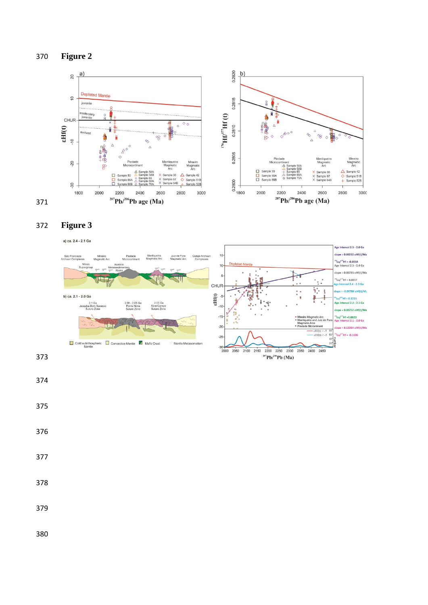



### 372 **Figure 3**

a) ca. 2.4 - 2.1 Ga Age Interval 2.5 - 2.0 Ga lope = 0.00232 εHf(t)/Ma Piedade<br>Microcontinent 15 São Francisco<br>Archean Complexes Mantiqueira<br>Magmatic Arc Juiz de Fora<br>Magmatic Arc Congo Archean<br>Complexes "Lu/<sup>177</sup>Hf = -0.0014<br><sup>a</sup>ge Interval 2.5 - 2.4 Ga  $10$  $\mathbf{r}$  $^{18}$ Lu/ $^{17}$ Hf = 0.0217  $124.236$ CHUR  $\ddot{\mathbf{r}}$  $pe = -0.05784 \text{ eHf(t)}$ 書  $\mathop{\rm eff}\nolimits_{\overset{\circ}{\mathstrut}_{\mathstrut 0}}$ b) ca. 2.1 - 2.0 Ga "Lu/<sup>177</sup>Hf = 0.1211<br>Age Interval 2.2 - 2.1 Ga 2.08 - 2.05 Ga<br>Ponte Nova<br>Suture Zone 2.05 Ga<br>Abre-Campo<br>Suture Zone  $lope = 0.00752 \; \epsilon Hf(t)/N$ <sup>x</sup>Lu/<sup>177</sup>Hf =0.0023<br><mark>Age</mark> Interval 2.1 - 2.0 Ga  $-15$  $-20$ |<br>| slope = 0.13384 εHf(t)/Ma  $\frac{\varepsilon Hf(t)}{\varepsilon Hf(t)}$  $"$ Lu/ $"$ Hf = -0.1686  $-25$ Cold sublithospheric Convective Mantle Z Mafic Crust<br>Mantle Mantle Metasomatism  $207$ Pb/206Pb (Ma)

- 373
- 374
- 375
- 376
- 377
- 
- 378
- 379
- 

380